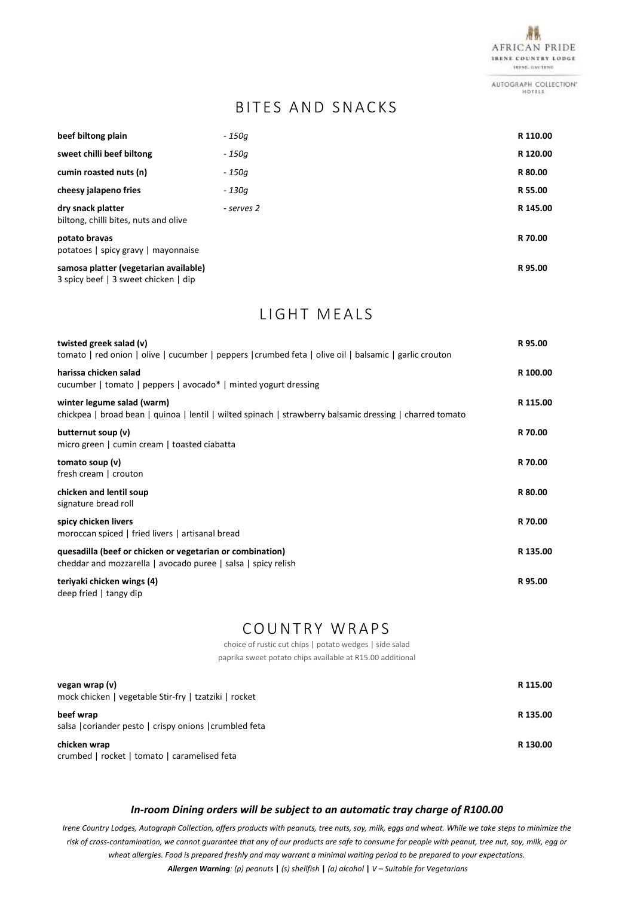

AUTOGRAPH COLLECTION" HOTELS

## BITES AND SNACKS

| beef biltong plain                                                            | - 150a     | R 110.00 |
|-------------------------------------------------------------------------------|------------|----------|
| sweet chilli beef biltong                                                     | - 150a     | R 120.00 |
| cumin roasted nuts (n)                                                        | - 150a     | R 80.00  |
| cheesy jalapeno fries                                                         | - 130a     | R 55.00  |
| dry snack platter<br>biltong, chilli bites, nuts and olive                    | - serves 2 | R 145.00 |
| potato bravas<br>potatoes   spicy gravy   mayonnaise                          |            | R 70.00  |
| samosa platter (vegetarian available)<br>3 spicy beef   3 sweet chicken   dip |            | R 95.00  |

LIGHT MEALS

| twisted greek salad (v)<br>tomato   red onion   olive   cucumber   peppers   crumbed feta   olive oil   balsamic   garlic crouton      | R 95.00  |
|----------------------------------------------------------------------------------------------------------------------------------------|----------|
| harissa chicken salad<br>cucumber   tomato   peppers   avocado*   minted yogurt dressing                                               | R 100.00 |
| winter legume salad (warm)<br>chickpea   broad bean   quinoa   lentil   wilted spinach   strawberry balsamic dressing   charred tomato | R 115.00 |
| butternut soup (v)<br>micro green   cumin cream   toasted ciabatta                                                                     | R 70.00  |
| tomato soup (v)<br>fresh cream   crouton                                                                                               | R 70.00  |
| chicken and lentil soup<br>signature bread roll                                                                                        | R 80.00  |
| spicy chicken livers<br>moroccan spiced   fried livers   artisanal bread                                                               | R 70.00  |
| quesadilla (beef or chicken or vegetarian or combination)<br>cheddar and mozzarella   avocado puree   salsa   spicy relish             | R 135.00 |
| teriyaki chicken wings (4)<br>deep fried   tangy dip                                                                                   | R 95.00  |

# COUNTRY WRAPS

choice of rustic cut chips | potato wedges | side salad

paprika sweet potato chips available at R15.00 additional

| vegan wrap (v)<br>mock chicken   vegetable Stir-fry   tzatziki   rocket | R 115.00 |
|-------------------------------------------------------------------------|----------|
| beef wrap<br>salsa   coriander pesto   crispy onions   crumbled feta    | R 135.00 |
| chicken wrap<br>crumbed   rocket   tomato   caramelised feta            | R 130.00 |

#### *In-room Dining orders will be subject to an automatic tray charge of R100.00*

*Irene Country Lodges, Autograph Collection, offers products with peanuts, tree nuts, soy, milk, eggs and wheat. While we take steps to minimize the risk of cross-contamination, we cannot guarantee that any of our products are safe to consume for people with peanut, tree nut, soy, milk, egg or wheat allergies. Food is prepared freshly and may warrant a minimal waiting period to be prepared to your expectations. Allergen Warning: (p) peanuts* **|** *(s) shellfish* **|** *(a) alcohol* **|** *V – Suitable for Vegetarians*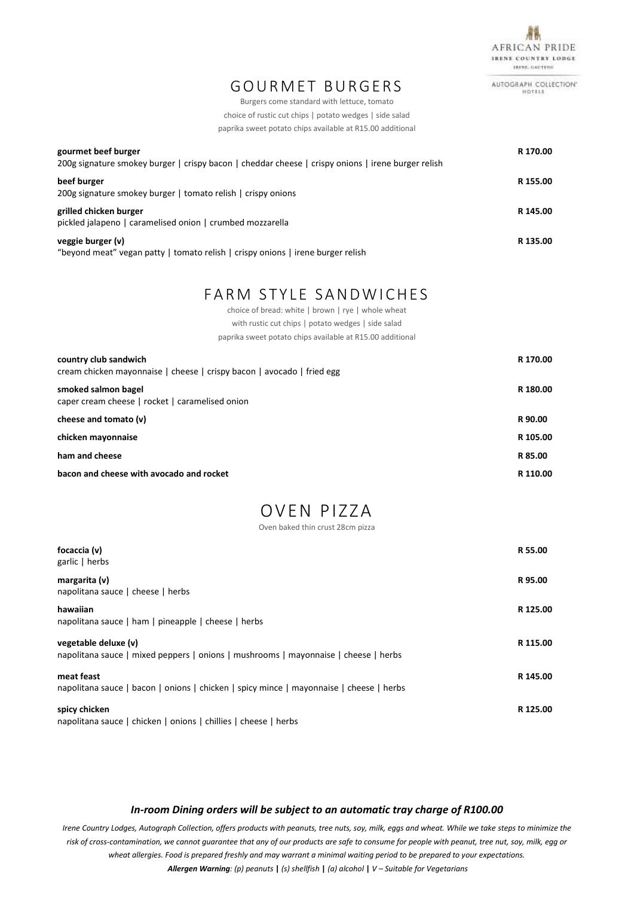

AUTOGRAPH COLLECTION\* HOTELS

Burgers come standard with lettuce, tomato choice of rustic cut chips | potato wedges | side salad paprika sweet potato chips available at R15.00 additional

| gourmet beef burger<br>200g signature smokey burger   crispy bacon   cheddar cheese   crispy onions   irene burger relish                  | R 170.00 |
|--------------------------------------------------------------------------------------------------------------------------------------------|----------|
| beef burger<br>200g signature smokey burger   tomato relish   crispy onions                                                                | R 155.00 |
| grilled chicken burger<br>pickled jalapeno   caramelised onion   crumbed mozzarella                                                        | R 145.00 |
| veggie burger (v)<br>#housing at the complete commence of the comment of the first of the comment of the comment of the first of the first | R 135.00 |

"beyond meat" vegan patty | tomato relish | crispy onions | irene burger relish

### FARM STYLE SANDWICHES

choice of bread: white | brown | rye | whole wheat with rustic cut chips | potato wedges | side salad paprika sweet potato chips available at R15.00 additional

| country club sandwich<br>cream chicken mayonnaise   cheese   crispy bacon   avocado   fried egg | R 170.00 |
|-------------------------------------------------------------------------------------------------|----------|
| smoked salmon bagel<br>caper cream cheese   rocket   caramelised onion                          | R 180.00 |
| cheese and tomato (v)                                                                           | R 90.00  |
| chicken mayonnaise                                                                              | R 105.00 |
| ham and cheese                                                                                  | R 85.00  |
| bacon and cheese with avocado and rocket                                                        | R 110.00 |

# OVEN PIZZA

Oven baked thin crust 28cm pizza

| focaccia (v)<br>garlic   herbs                                                                              | R 55.00  |
|-------------------------------------------------------------------------------------------------------------|----------|
| margarita (v)<br>napolitana sauce   cheese   herbs                                                          | R 95.00  |
| hawaiian<br>napolitana sauce   ham   pineapple   cheese   herbs                                             | R 125.00 |
| vegetable deluxe (v)<br>napolitana sauce   mixed peppers   onions   mushrooms   mayonnaise   cheese   herbs | R 115.00 |
| meat feast<br>napolitana sauce   bacon   onions   chicken   spicy mince   mayonnaise   cheese   herbs       | R 145.00 |
| spicy chicken<br>napolitana sauce   chicken   onions   chillies   cheese   herbs                            | R 125.00 |

#### *In-room Dining orders will be subject to an automatic tray charge of R100.00*

*Irene Country Lodges, Autograph Collection, offers products with peanuts, tree nuts, soy, milk, eggs and wheat. While we take steps to minimize the risk of cross-contamination, we cannot guarantee that any of our products are safe to consume for people with peanut, tree nut, soy, milk, egg or wheat allergies. Food is prepared freshly and may warrant a minimal waiting period to be prepared to your expectations. Allergen Warning: (p) peanuts* **|** *(s) shellfish* **|** *(a) alcohol* **|** *V – Suitable for Vegetarians*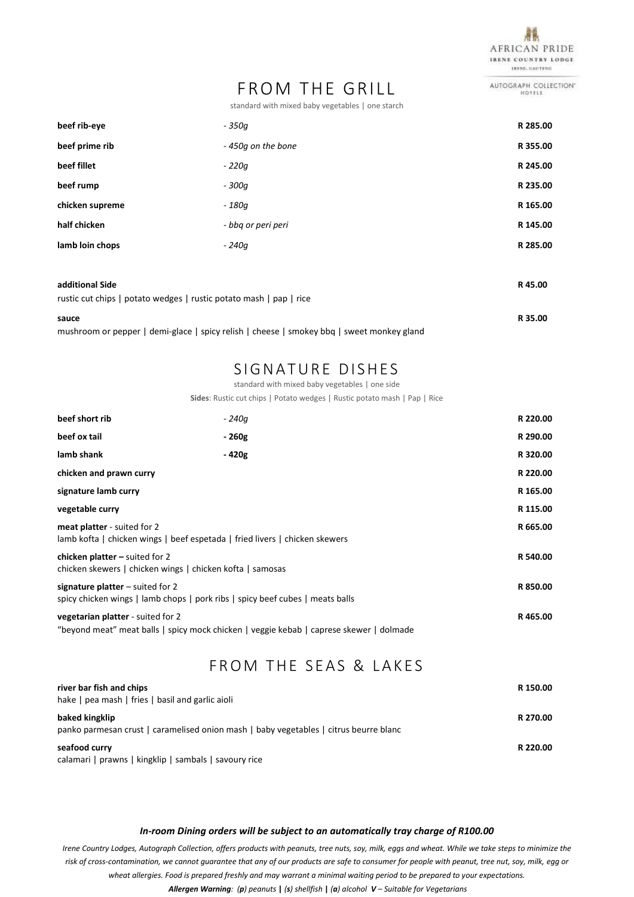

AUTOGRAPH COLLECTION"

# FROM THE GRILL

standard with mixed baby vegetables | one starch

| beef rib-eye                                                                          | - 350a             | R 285.00 |
|---------------------------------------------------------------------------------------|--------------------|----------|
| beef prime rib                                                                        | - 450g on the bone | R 355.00 |
| beef fillet                                                                           | - 220a             | R 245.00 |
| beef rump                                                                             | - 300a             | R 235.00 |
| chicken supreme                                                                       | - 180a             | R 165.00 |
| half chicken                                                                          | - bbq or peri peri | R 145.00 |
| lamb loin chops                                                                       | - 240a             | R 285.00 |
|                                                                                       |                    |          |
| additional Side<br>rustic cut chips I potato wedges I rustic potato mash I pap I rice |                    | R45.00   |

| $\frac{1}{2}$ and $\frac{1}{2}$ and $\frac{1}{2}$ is the second of $\frac{1}{2}$ , and the position $\frac{1}{2}$ is the second of $\frac{1}{2}$ |         |
|--------------------------------------------------------------------------------------------------------------------------------------------------|---------|
| sauce                                                                                                                                            | R 35.00 |
| mushroom or pepper   demi-glace   spicy relish   cheese   smokey bbq   sweet monkey gland                                                        |         |

### SIGNATURE DISHES

standard with mixed baby vegetables | one side

**Sides**: Rustic cut chips | Potato wedges | Rustic potato mash | Pap | Rice

| beef short rib                                                                                                      | - 240a |                                                                                         | R 220.00 |
|---------------------------------------------------------------------------------------------------------------------|--------|-----------------------------------------------------------------------------------------|----------|
| beef ox tail                                                                                                        | - 260g |                                                                                         | R 290.00 |
| lamb shank                                                                                                          | - 420g |                                                                                         | R 320.00 |
| chicken and prawn curry                                                                                             |        |                                                                                         | R 220.00 |
| signature lamb curry                                                                                                |        |                                                                                         | R 165.00 |
| vegetable curry                                                                                                     |        |                                                                                         | R 115.00 |
| meat platter - suited for 2<br>lamb kofta   chicken wings   beef espetada   fried livers   chicken skewers          |        |                                                                                         | R 665.00 |
| chicken platter $-$ suited for 2<br>chicken skewers   chicken wings   chicken kofta   samosas                       |        |                                                                                         | R 540.00 |
| signature platter $-$ suited for 2<br>spicy chicken wings   lamb chops   pork ribs   spicy beef cubes   meats balls |        |                                                                                         | R 850.00 |
| <b>vegetarian platter</b> - suited for 2                                                                            |        | "beyond meat" meat balls   spicy mock chicken   veggie kebab   caprese skewer   dolmade | R465.00  |

#### FROM THE SEAS & LAKES

| river bar fish and chips<br>hake   pea mash   fries   basil and garlic aioli                            | R 150.00 |
|---------------------------------------------------------------------------------------------------------|----------|
| baked kingklip<br>panko parmesan crust   caramelised onion mash   baby vegetables   citrus beurre blanc | R 270.00 |
| seafood curry<br>calamari   prawns   kingklip   sambals   savoury rice                                  | R 220.00 |

#### *In-room Dining orders will be subject to an automatically tray charge of R100.00*

*Irene Country Lodges, Autograph Collection, offers products with peanuts, tree nuts, soy, milk, eggs and wheat. While we take steps to minimize the risk of cross-contamination, we cannot guarantee that any of our products are safe to consumer for people with peanut, tree nut, soy, milk, egg or wheat allergies. Food is prepared freshly and may warrant a minimal waiting period to be prepared to your expectations.*

*Allergen Warning: (p) peanuts* **|** *(s) shellfish* **|** *(a) alcohol V – Suitable for Vegetarians*